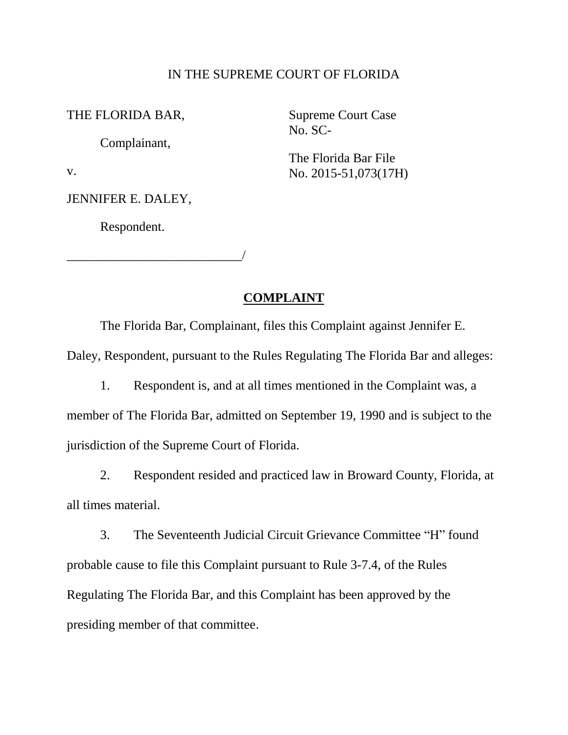#### IN THE SUPREME COURT OF FLORIDA

THE FLORIDA BAR,

Complainant,

v.

JENNIFER E. DALEY,

Respondent.

\_\_\_\_\_\_\_\_\_\_\_\_\_\_\_\_\_\_\_\_\_\_\_\_\_\_\_/

Supreme Court Case No. SC-

The Florida Bar File No. 2015-51,073(17H)

### **COMPLAINT**

The Florida Bar, Complainant, files this Complaint against Jennifer E. Daley, Respondent, pursuant to the Rules Regulating The Florida Bar and alleges:

1. Respondent is, and at all times mentioned in the Complaint was, a member of The Florida Bar, admitted on September 19, 1990 and is subject to the jurisdiction of the Supreme Court of Florida.

2. Respondent resided and practiced law in Broward County, Florida, at all times material.

3. The Seventeenth Judicial Circuit Grievance Committee "H" found probable cause to file this Complaint pursuant to Rule 3-7.4, of the Rules Regulating The Florida Bar, and this Complaint has been approved by the presiding member of that committee.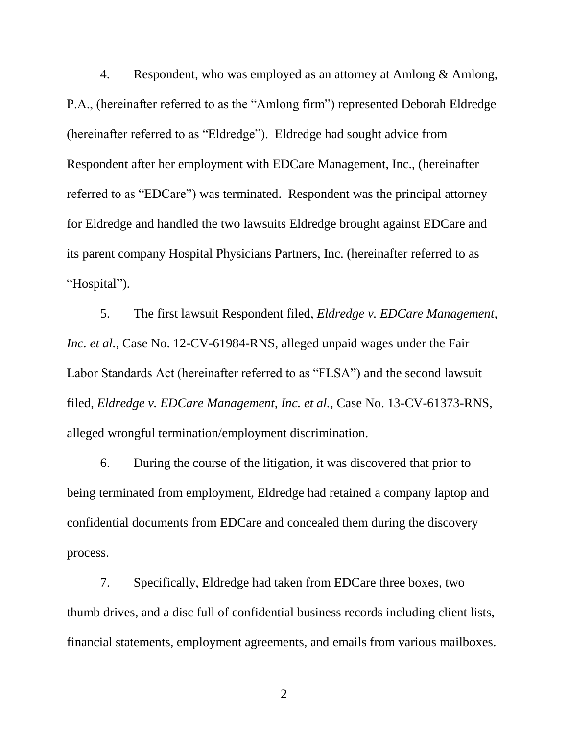4. Respondent, who was employed as an attorney at Amlong & Amlong, P.A., (hereinafter referred to as the "Amlong firm") represented Deborah Eldredge (hereinafter referred to as "Eldredge"). Eldredge had sought advice from Respondent after her employment with EDCare Management, Inc., (hereinafter referred to as "EDCare") was terminated. Respondent was the principal attorney for Eldredge and handled the two lawsuits Eldredge brought against EDCare and its parent company Hospital Physicians Partners, Inc. (hereinafter referred to as "Hospital").

5. The first lawsuit Respondent filed, *Eldredge v. EDCare Management, Inc. et al.*, Case No. 12-CV-61984-RNS, alleged unpaid wages under the Fair Labor Standards Act (hereinafter referred to as "FLSA") and the second lawsuit filed, *Eldredge v. EDCare Management, Inc. et al.,* Case No. 13-CV-61373-RNS, alleged wrongful termination/employment discrimination.

6. During the course of the litigation, it was discovered that prior to being terminated from employment, Eldredge had retained a company laptop and confidential documents from EDCare and concealed them during the discovery process.

7. Specifically, Eldredge had taken from EDCare three boxes, two thumb drives, and a disc full of confidential business records including client lists, financial statements, employment agreements, and emails from various mailboxes.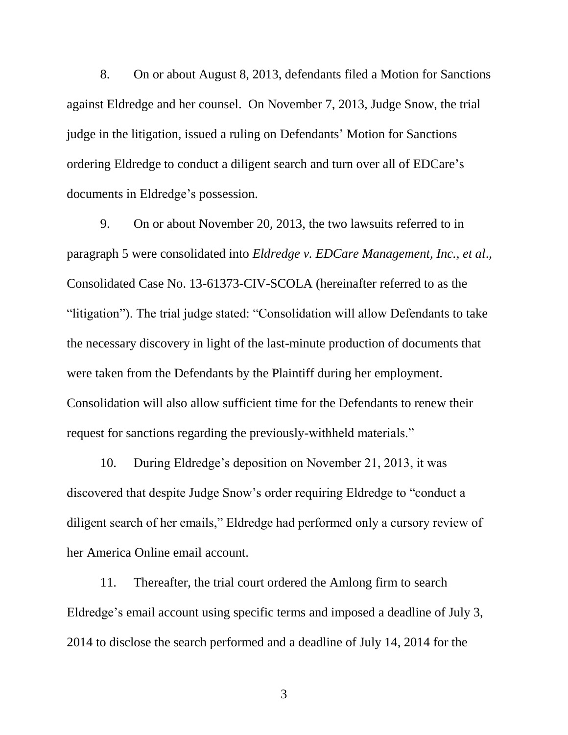8. On or about August 8, 2013, defendants filed a Motion for Sanctions against Eldredge and her counsel. On November 7, 2013, Judge Snow, the trial judge in the litigation, issued a ruling on Defendants' Motion for Sanctions ordering Eldredge to conduct a diligent search and turn over all of EDCare's documents in Eldredge's possession.

9. On or about November 20, 2013, the two lawsuits referred to in paragraph 5 were consolidated into *Eldredge v. EDCare Management, Inc., et al*., Consolidated Case No. 13-61373-CIV-SCOLA (hereinafter referred to as the "litigation"). The trial judge stated: "Consolidation will allow Defendants to take the necessary discovery in light of the last-minute production of documents that were taken from the Defendants by the Plaintiff during her employment. Consolidation will also allow sufficient time for the Defendants to renew their request for sanctions regarding the previously-withheld materials."

10. During Eldredge's deposition on November 21, 2013, it was discovered that despite Judge Snow's order requiring Eldredge to "conduct a diligent search of her emails," Eldredge had performed only a cursory review of her America Online email account.

11. Thereafter, the trial court ordered the Amlong firm to search Eldredge's email account using specific terms and imposed a deadline of July 3, 2014 to disclose the search performed and a deadline of July 14, 2014 for the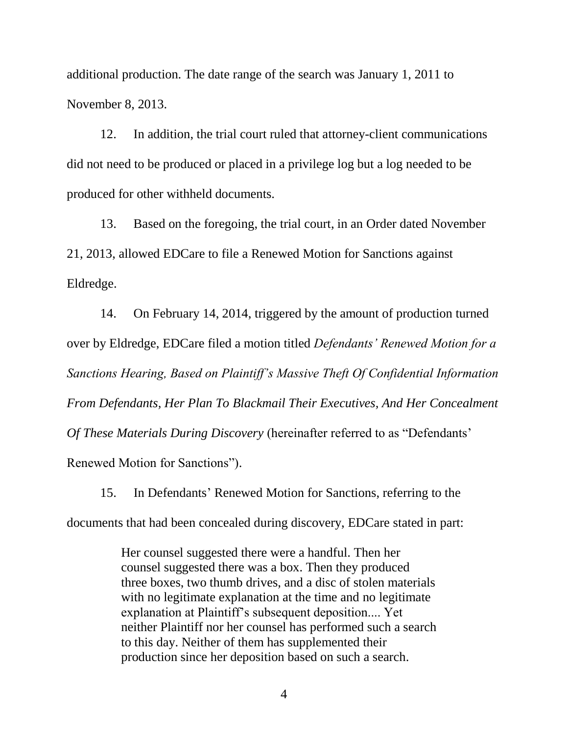additional production. The date range of the search was January 1, 2011 to November 8, 2013.

12. In addition, the trial court ruled that attorney-client communications did not need to be produced or placed in a privilege log but a log needed to be produced for other withheld documents.

13. Based on the foregoing, the trial court, in an Order dated November 21, 2013, allowed EDCare to file a Renewed Motion for Sanctions against Eldredge.

14. On February 14, 2014, triggered by the amount of production turned over by Eldredge, EDCare filed a motion titled *Defendants' Renewed Motion for a Sanctions Hearing, Based on Plaintiff's Massive Theft Of Confidential Information From Defendants, Her Plan To Blackmail Their Executives, And Her Concealment Of These Materials During Discovery* (hereinafter referred to as "Defendants' Renewed Motion for Sanctions").

15. In Defendants' Renewed Motion for Sanctions, referring to the documents that had been concealed during discovery, EDCare stated in part:

> Her counsel suggested there were a handful. Then her counsel suggested there was a box. Then they produced three boxes, two thumb drives, and a disc of stolen materials with no legitimate explanation at the time and no legitimate explanation at Plaintiff's subsequent deposition.... Yet neither Plaintiff nor her counsel has performed such a search to this day. Neither of them has supplemented their production since her deposition based on such a search.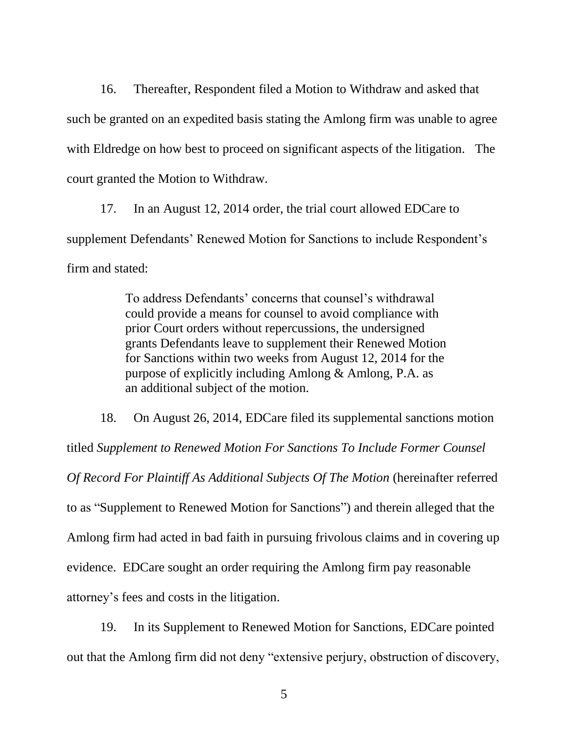16. Thereafter, Respondent filed a Motion to Withdraw and asked that such be granted on an expedited basis stating the Amlong firm was unable to agree with Eldredge on how best to proceed on significant aspects of the litigation. The court granted the Motion to Withdraw.

17. In an August 12, 2014 order, the trial court allowed EDCare to supplement Defendants' Renewed Motion for Sanctions to include Respondent's firm and stated:

> To address Defendants' concerns that counsel's withdrawal could provide a means for counsel to avoid compliance with prior Court orders without repercussions, the undersigned grants Defendants leave to supplement their Renewed Motion for Sanctions within two weeks from August 12, 2014 for the purpose of explicitly including Amlong & Amlong, P.A. as an additional subject of the motion.

18. On August 26, 2014, EDCare filed its supplemental sanctions motion titled *Supplement to Renewed Motion For Sanctions To Include Former Counsel Of Record For Plaintiff As Additional Subjects Of The Motion (hereinafter referred* to as "Supplement to Renewed Motion for Sanctions") and therein alleged that the Amlong firm had acted in bad faith in pursuing frivolous claims and in covering up evidence. EDCare sought an order requiring the Amlong firm pay reasonable attorney's fees and costs in the litigation.

19. In its Supplement to Renewed Motion for Sanctions, EDCare pointed out that the Amlong firm did not deny "extensive perjury, obstruction of discovery,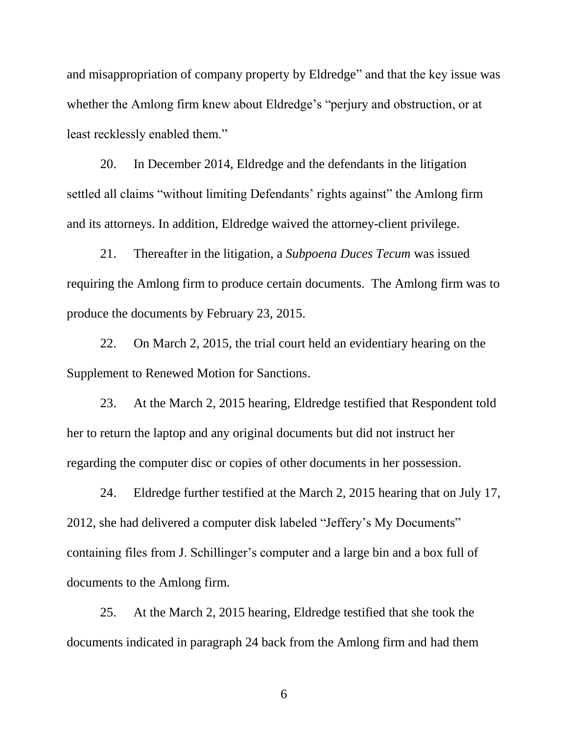and misappropriation of company property by Eldredge" and that the key issue was whether the Amlong firm knew about Eldredge's "perjury and obstruction, or at least recklessly enabled them."

20. In December 2014, Eldredge and the defendants in the litigation settled all claims "without limiting Defendants' rights against" the Amlong firm and its attorneys. In addition, Eldredge waived the attorney-client privilege.

21. Thereafter in the litigation, a *Subpoena Duces Tecum* was issued requiring the Amlong firm to produce certain documents. The Amlong firm was to produce the documents by February 23, 2015.

22. On March 2, 2015, the trial court held an evidentiary hearing on the Supplement to Renewed Motion for Sanctions.

23. At the March 2, 2015 hearing, Eldredge testified that Respondent told her to return the laptop and any original documents but did not instruct her regarding the computer disc or copies of other documents in her possession.

24. Eldredge further testified at the March 2, 2015 hearing that on July 17, 2012, she had delivered a computer disk labeled "Jeffery's My Documents" containing files from J. Schillinger's computer and a large bin and a box full of documents to the Amlong firm.

25. At the March 2, 2015 hearing, Eldredge testified that she took the documents indicated in paragraph 24 back from the Amlong firm and had them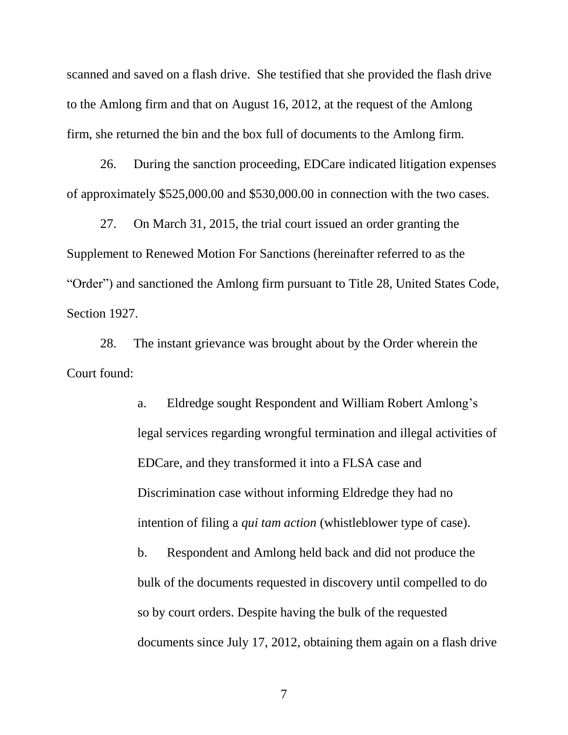scanned and saved on a flash drive. She testified that she provided the flash drive to the Amlong firm and that on August 16, 2012, at the request of the Amlong firm, she returned the bin and the box full of documents to the Amlong firm.

26. During the sanction proceeding, EDCare indicated litigation expenses of approximately \$525,000.00 and \$530,000.00 in connection with the two cases.

27. On March 31, 2015, the trial court issued an order granting the Supplement to Renewed Motion For Sanctions (hereinafter referred to as the "Order") and sanctioned the Amlong firm pursuant to Title 28, United States Code, Section 1927.

28. The instant grievance was brought about by the Order wherein the Court found:

> a. Eldredge sought Respondent and William Robert Amlong's legal services regarding wrongful termination and illegal activities of EDCare, and they transformed it into a FLSA case and Discrimination case without informing Eldredge they had no intention of filing a *qui tam action* (whistleblower type of case). b. Respondent and Amlong held back and did not produce the bulk of the documents requested in discovery until compelled to do

> documents since July 17, 2012, obtaining them again on a flash drive

7

so by court orders. Despite having the bulk of the requested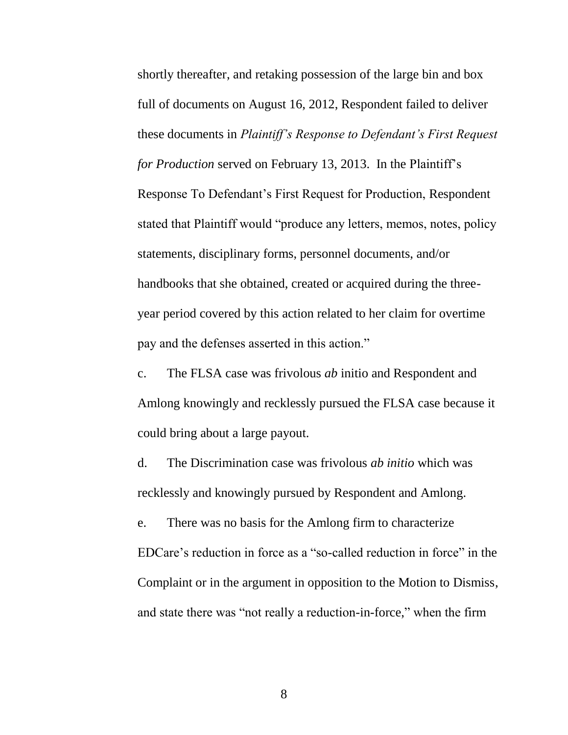shortly thereafter, and retaking possession of the large bin and box full of documents on August 16, 2012, Respondent failed to deliver these documents in *Plaintiff's Response to Defendant's First Request for Production* served on February 13, 2013. In the Plaintiff's Response To Defendant's First Request for Production, Respondent stated that Plaintiff would "produce any letters, memos, notes, policy statements, disciplinary forms, personnel documents, and/or handbooks that she obtained, created or acquired during the threeyear period covered by this action related to her claim for overtime pay and the defenses asserted in this action."

c. The FLSA case was frivolous *ab* initio and Respondent and Amlong knowingly and recklessly pursued the FLSA case because it could bring about a large payout.

d. The Discrimination case was frivolous *ab initio* which was recklessly and knowingly pursued by Respondent and Amlong.

e. There was no basis for the Amlong firm to characterize EDCare's reduction in force as a "so-called reduction in force" in the Complaint or in the argument in opposition to the Motion to Dismiss, and state there was "not really a reduction-in-force," when the firm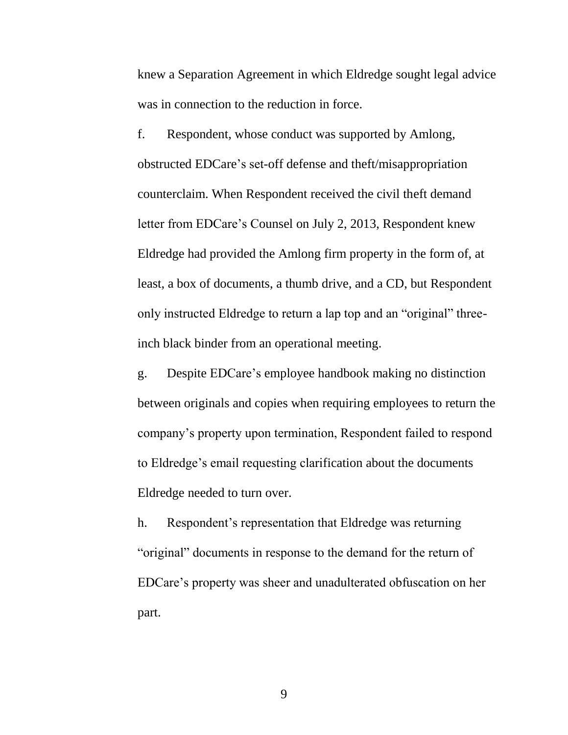knew a Separation Agreement in which Eldredge sought legal advice was in connection to the reduction in force.

f. Respondent, whose conduct was supported by Amlong, obstructed EDCare's set-off defense and theft/misappropriation counterclaim. When Respondent received the civil theft demand letter from EDCare's Counsel on July 2, 2013, Respondent knew Eldredge had provided the Amlong firm property in the form of, at least, a box of documents, a thumb drive, and a CD, but Respondent only instructed Eldredge to return a lap top and an "original" threeinch black binder from an operational meeting.

g. Despite EDCare's employee handbook making no distinction between originals and copies when requiring employees to return the company's property upon termination, Respondent failed to respond to Eldredge's email requesting clarification about the documents Eldredge needed to turn over.

h. Respondent's representation that Eldredge was returning "original" documents in response to the demand for the return of EDCare's property was sheer and unadulterated obfuscation on her part.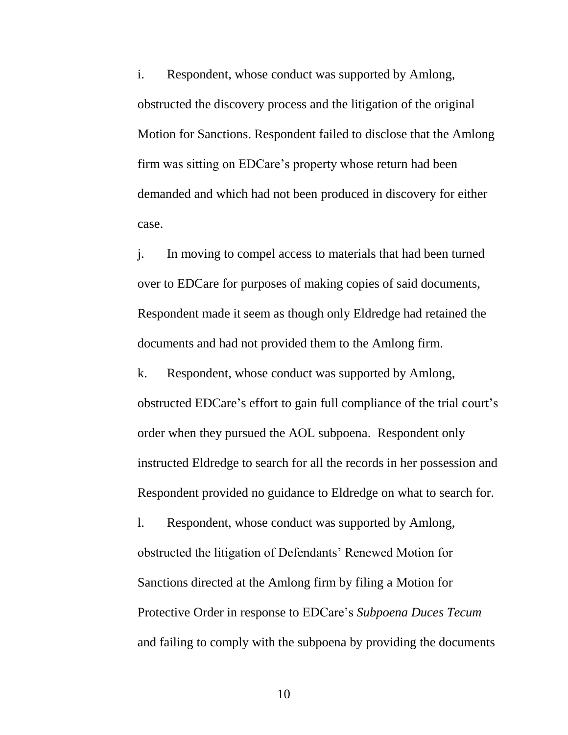i. Respondent, whose conduct was supported by Amlong, obstructed the discovery process and the litigation of the original Motion for Sanctions. Respondent failed to disclose that the Amlong firm was sitting on EDCare's property whose return had been demanded and which had not been produced in discovery for either case.

j. In moving to compel access to materials that had been turned over to EDCare for purposes of making copies of said documents, Respondent made it seem as though only Eldredge had retained the documents and had not provided them to the Amlong firm.

k. Respondent, whose conduct was supported by Amlong, obstructed EDCare's effort to gain full compliance of the trial court's order when they pursued the AOL subpoena. Respondent only instructed Eldredge to search for all the records in her possession and Respondent provided no guidance to Eldredge on what to search for.

l. Respondent, whose conduct was supported by Amlong, obstructed the litigation of Defendants' Renewed Motion for Sanctions directed at the Amlong firm by filing a Motion for Protective Order in response to EDCare's *Subpoena Duces Tecum*  and failing to comply with the subpoena by providing the documents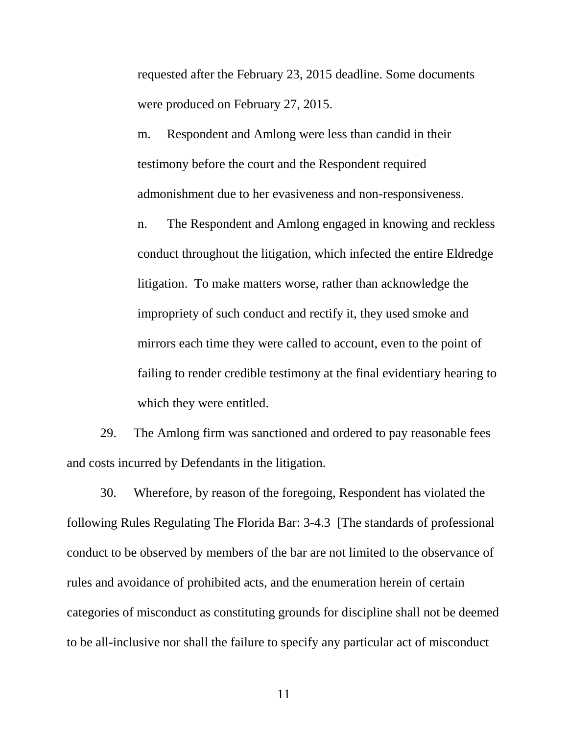requested after the February 23, 2015 deadline. Some documents were produced on February 27, 2015.

m. Respondent and Amlong were less than candid in their testimony before the court and the Respondent required admonishment due to her evasiveness and non-responsiveness.

n. The Respondent and Amlong engaged in knowing and reckless conduct throughout the litigation, which infected the entire Eldredge litigation. To make matters worse, rather than acknowledge the impropriety of such conduct and rectify it, they used smoke and mirrors each time they were called to account, even to the point of failing to render credible testimony at the final evidentiary hearing to which they were entitled.

29. The Amlong firm was sanctioned and ordered to pay reasonable fees and costs incurred by Defendants in the litigation.

30. Wherefore, by reason of the foregoing, Respondent has violated the following Rules Regulating The Florida Bar: 3-4.3 [The standards of professional conduct to be observed by members of the bar are not limited to the observance of rules and avoidance of prohibited acts, and the enumeration herein of certain categories of misconduct as constituting grounds for discipline shall not be deemed to be all-inclusive nor shall the failure to specify any particular act of misconduct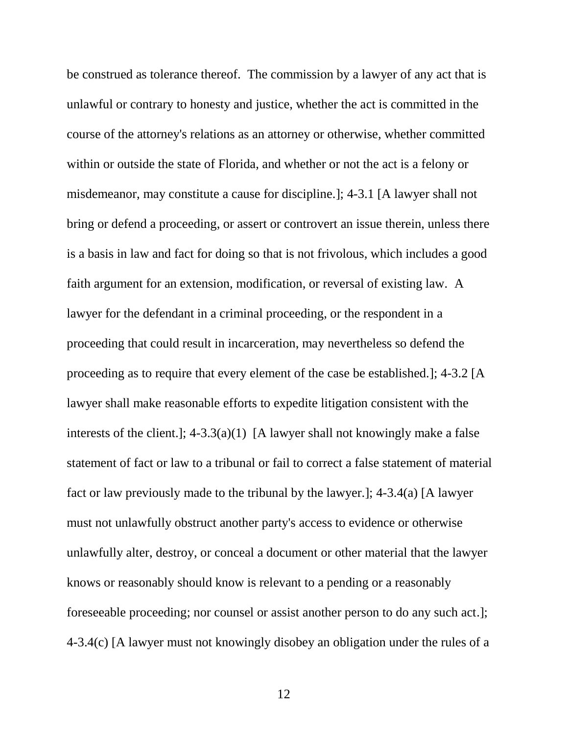unlawful or contrary to honesty and justice, whether the act is committed in the misdemeanor, may constitute a cause for discipline.]; 4-3.1 [A lawyer shall not faith argument for an extension, modification, or reversal of existing law. A interests of the client.]; 4-3.3(a)(1) [A lawyer shall not knowingly make a false fact or law previously made to the tribunal by the lawyer.]; 4-3.4(a) [A lawyer knows or reasonably should know is relevant to a pending or a reasonably be construed as tolerance thereof. The commission by a lawyer of any act that is course of the attorney's relations as an attorney or otherwise, whether committed within or outside the state of Florida, and whether or not the act is a felony or bring or defend a proceeding, or assert or controvert an issue therein, unless there is a basis in law and fact for doing so that is not frivolous, which includes a good lawyer for the defendant in a criminal proceeding, or the respondent in a proceeding that could result in incarceration, may nevertheless so defend the proceeding as to require that every element of the case be established.]; 4-3.2 [A lawyer shall make reasonable efforts to expedite litigation consistent with the statement of fact or law to a tribunal or fail to correct a false statement of material must not unlawfully obstruct another party's access to evidence or otherwise unlawfully alter, destroy, or conceal a document or other material that the lawyer foreseeable proceeding; nor counsel or assist another person to do any such act.]; 4-3.4(c) [A lawyer must not knowingly disobey an obligation under the rules of a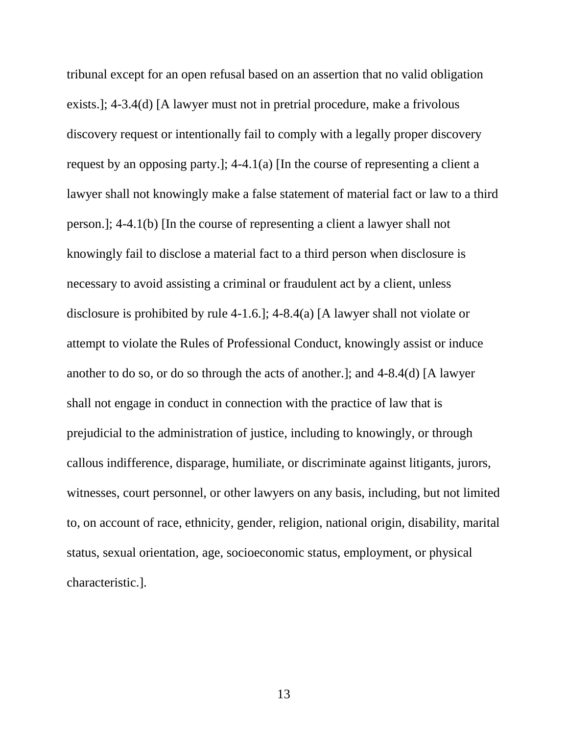tribunal except for an open refusal based on an assertion that no valid obligation knowingly fail to disclose a material fact to a third person when disclosure is another to do so, or do so through the acts of another.]; and 4-8.4(d) [A lawyer prejudicial to the administration of justice, including to knowingly, or through witnesses, court personnel, or other lawyers on any basis, including, but not limited exists.]; 4-3.4(d) [A lawyer must not in pretrial procedure, make a frivolous discovery request or intentionally fail to comply with a legally proper discovery request by an opposing party.]; 4-4.1(a) [In the course of representing a client a lawyer shall not knowingly make a false statement of material fact or law to a third person.]; 4-4.1(b) [In the course of representing a client a lawyer shall not necessary to avoid assisting a criminal or fraudulent act by a client, unless disclosure is prohibited by rule 4-1.6.]; 4-8.4(a) [A lawyer shall not violate or attempt to violate the Rules of Professional Conduct, knowingly assist or induce shall not engage in conduct in connection with the practice of law that is callous indifference, disparage, humiliate, or discriminate against litigants, jurors, to, on account of race, ethnicity, gender, religion, national origin, disability, marital status, sexual orientation, age, socioeconomic status, employment, or physical characteristic.].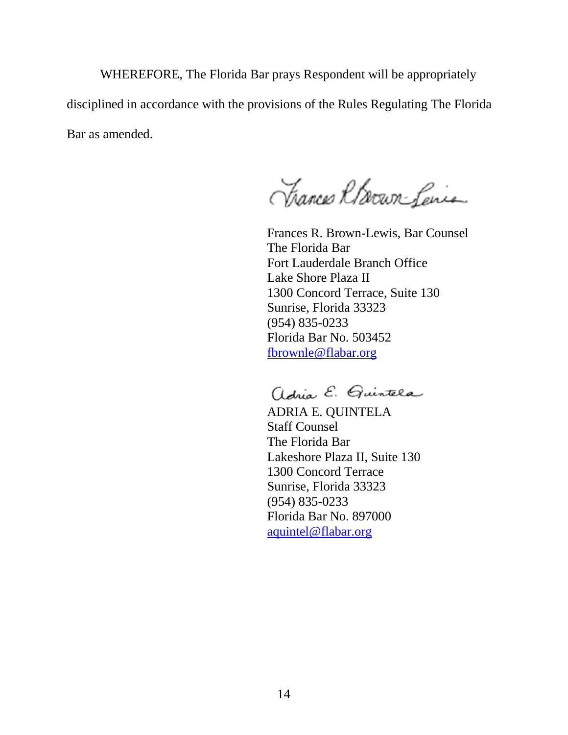WHEREFORE, The Florida Bar prays Respondent will be appropriately disciplined in accordance with the provisions of the Rules Regulating The Florida Bar as amended.

Thances Rhown-Lenis

Frances R. Brown-Lewis, Bar Counsel The Florida Bar Fort Lauderdale Branch Office Lake Shore Plaza II 1300 Concord Terrace, Suite 130 Sunrise, Florida 33323 (954) 835-0233 Florida Bar No. 503452 fbrownle@flabar.org

adria E. Quintela

ADRIA E. QUINTELA Staff Counsel The Florida Bar Lakeshore Plaza II, Suite 130 1300 Concord Terrace Sunrise, Florida 33323 (954) 835-0233 Florida Bar No. 897000 aquintel@flabar.org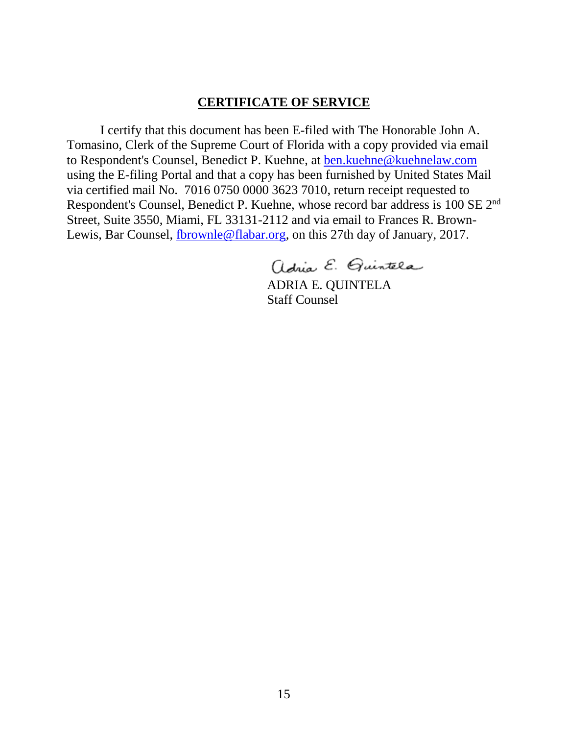### **CERTIFICATE OF SERVICE**

 using the E-filing Portal and that a copy has been furnished by United States Mail via certified mail No. 7016 0750 0000 3623 7010, return receipt requested to Respondent's Counsel, Benedict P. Kuehne, whose record bar address is 100 SE 2<sup>nd</sup> Street, Suite 3550, Miami, FL 33131-2112 and via email to Frances R. Brown-Lewis, Bar Counsel, *fbrownle@flabar.org*, on this 27th day of January, 2017. I certify that this document has been E-filed with The Honorable John A. Tomasino, Clerk of the Supreme Court of Florida with a copy provided via email to Respondent's Counsel, Benedict P. Kuehne, at ben.kuehne@kuehnelaw.com

adria E. Quintela

ADRIA E. QUINTELA Staff Counsel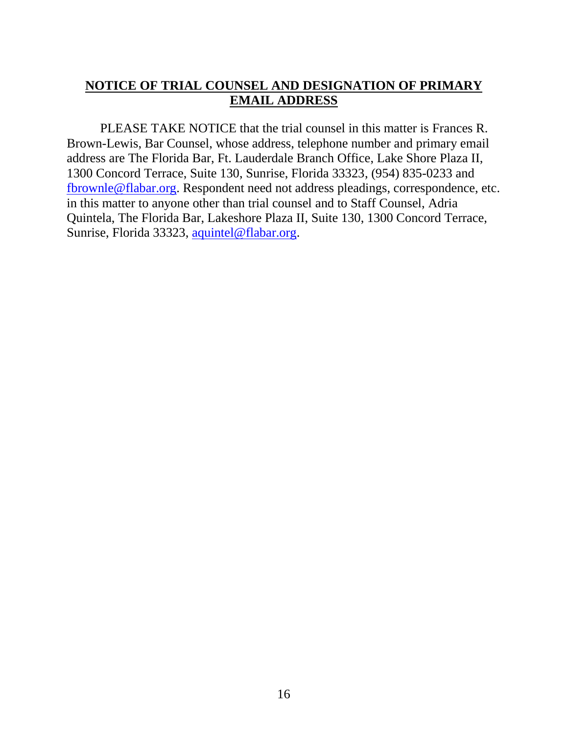## **NOTICE OF TRIAL COUNSEL AND DESIGNATION OF PRIMARY EMAIL ADDRESS**

PLEASE TAKE NOTICE that the trial counsel in this matter is Frances R. Brown-Lewis, Bar Counsel, whose address, telephone number and primary email address are The Florida Bar, Ft. Lauderdale Branch Office, Lake Shore Plaza II, 1300 Concord Terrace, Suite 130, Sunrise, Florida 33323, (954) 835-0233 and fbrownle@flabar.org. Respondent need not address pleadings, correspondence, etc. in this matter to anyone other than trial counsel and to Staff Counsel, Adria Quintela, The Florida Bar, Lakeshore Plaza II, Suite 130, 1300 Concord Terrace, Sunrise, Florida 33323, aquintel@flabar.org.